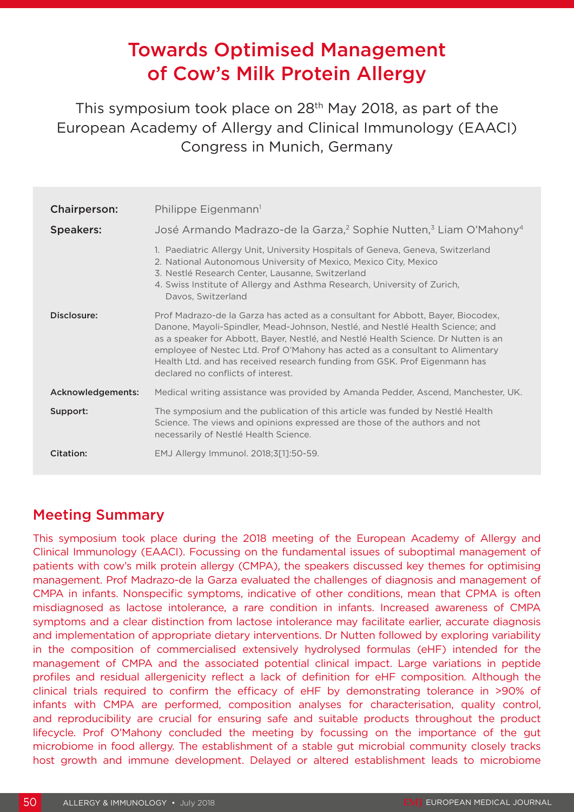# Towards Optimised Management of Cow's Milk Protein Allergy

This symposium took place on 28th May 2018, as part of the European Academy of Allergy and Clinical Immunology (EAACI) Congress in Munich, Germany

| Chairperson:      | Philippe Eigenmann <sup>1</sup>                                                                                                                                                                                                                                                                                                                                                                                                                             |
|-------------------|-------------------------------------------------------------------------------------------------------------------------------------------------------------------------------------------------------------------------------------------------------------------------------------------------------------------------------------------------------------------------------------------------------------------------------------------------------------|
| <b>Speakers:</b>  | José Armando Madrazo-de la Garza, <sup>2</sup> Sophie Nutten, <sup>3</sup> Liam O'Mahony <sup>4</sup>                                                                                                                                                                                                                                                                                                                                                       |
|                   | 1. Paediatric Allergy Unit, University Hospitals of Geneva, Geneva, Switzerland<br>2. National Autonomous University of Mexico, Mexico City, Mexico<br>3. Nestlé Research Center, Lausanne, Switzerland<br>4. Swiss Institute of Allergy and Asthma Research, University of Zurich,<br>Davos, Switzerland                                                                                                                                                   |
| Disclosure:       | Prof Madrazo-de la Garza has acted as a consultant for Abbott, Bayer, Biocodex,<br>Danone, Mayoli-Spindler, Mead-Johnson, Nestlé, and Nestlé Health Science; and<br>as a speaker for Abbott, Bayer, Nestlé, and Nestlé Health Science. Dr Nutten is an<br>employee of Nestec Ltd. Prof O'Mahony has acted as a consultant to Alimentary<br>Health Ltd. and has received research funding from GSK. Prof Eigenmann has<br>declared no conflicts of interest. |
| Acknowledgements: | Medical writing assistance was provided by Amanda Pedder, Ascend, Manchester, UK.                                                                                                                                                                                                                                                                                                                                                                           |
| Support:          | The symposium and the publication of this article was funded by Nestlé Health<br>Science. The views and opinions expressed are those of the authors and not<br>necessarily of Nestlé Health Science.                                                                                                                                                                                                                                                        |
| Citation:         | EMJ Allergy Immunol. 2018;3[1]:50-59.                                                                                                                                                                                                                                                                                                                                                                                                                       |

# Meeting Summary

This symposium took place during the 2018 meeting of the European Academy of Allergy and Clinical Immunology (EAACI). Focussing on the fundamental issues of suboptimal management of patients with cow's milk protein allergy (CMPA), the speakers discussed key themes for optimising management. Prof Madrazo-de la Garza evaluated the challenges of diagnosis and management of CMPA in infants. Nonspecific symptoms, indicative of other conditions, mean that CPMA is often misdiagnosed as lactose intolerance, a rare condition in infants. Increased awareness of CMPA symptoms and a clear distinction from lactose intolerance may facilitate earlier, accurate diagnosis and implementation of appropriate dietary interventions. Dr Nutten followed by exploring variability in the composition of commercialised extensively hydrolysed formulas (eHF) intended for the management of CMPA and the associated potential clinical impact. Large variations in peptide profiles and residual allergenicity reflect a lack of definition for eHF composition. Although the clinical trials required to confirm the efficacy of eHF by demonstrating tolerance in >90% of infants with CMPA are performed, composition analyses for characterisation, quality control, and reproducibility are crucial for ensuring safe and suitable products throughout the product lifecycle. Prof O'Mahony concluded the meeting by focussing on the importance of the gut microbiome in food allergy. The establishment of a stable gut microbial community closely tracks host growth and immune development. Delayed or altered establishment leads to microbiome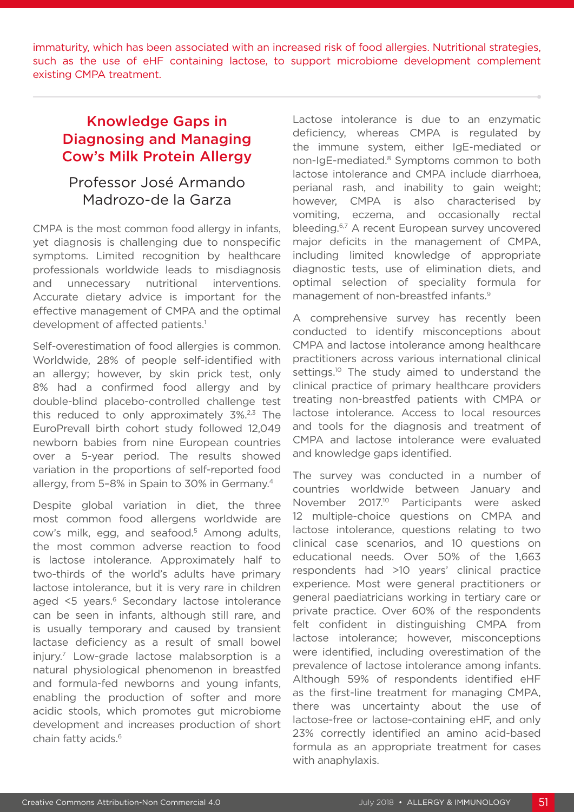immaturity, which has been associated with an increased risk of food allergies. Nutritional strategies, such as the use of eHF containing lactose, to support microbiome development complement existing CMPA treatment.

# Knowledge Gaps in Diagnosing and Managing Cow's Milk Protein Allergy

# Professor José Armando Madrozo-de la Garza

CMPA is the most common food allergy in infants, yet diagnosis is challenging due to nonspecific symptoms. Limited recognition by healthcare professionals worldwide leads to misdiagnosis and unnecessary nutritional interventions. Accurate dietary advice is important for the effective management of CMPA and the optimal development of affected patients.<sup>1</sup>

Self-overestimation of food allergies is common. Worldwide, 28% of people self-identified with an allergy; however, by skin prick test, only 8% had a confirmed food allergy and by double-blind placebo-controlled challenge test this reduced to only approximately  $3\frac{2}{3}$  The EuroPrevall birth cohort study followed 12,049 newborn babies from nine European countries over a 5-year period. The results showed variation in the proportions of self-reported food allergy, from 5–8% in Spain to 30% in Germany.4

Despite global variation in diet, the three most common food allergens worldwide are cow's milk, egg, and seafood.<sup>5</sup> Among adults, the most common adverse reaction to food is lactose intolerance. Approximately half to two-thirds of the world's adults have primary lactose intolerance, but it is very rare in children aged <5 years.<sup>6</sup> Secondary lactose intolerance can be seen in infants, although still rare, and is usually temporary and caused by transient lactase deficiency as a result of small bowel injury.7 Low-grade lactose malabsorption is a natural physiological phenomenon in breastfed and formula-fed newborns and young infants, enabling the production of softer and more acidic stools, which promotes gut microbiome development and increases production of short chain fatty acids.6

Lactose intolerance is due to an enzymatic deficiency, whereas CMPA is regulated by the immune system, either IgE-mediated or non-IgE-mediated.<sup>8</sup> Symptoms common to both lactose intolerance and CMPA include diarrhoea, perianal rash, and inability to gain weight; however, CMPA is also characterised by vomiting, eczema, and occasionally rectal bleeding.6,7 A recent European survey uncovered major deficits in the management of CMPA, including limited knowledge of appropriate diagnostic tests, use of elimination diets, and optimal selection of speciality formula for management of non-breastfed infants.9

A comprehensive survey has recently been conducted to identify misconceptions about CMPA and lactose intolerance among healthcare practitioners across various international clinical settings.<sup>10</sup> The study aimed to understand the clinical practice of primary healthcare providers treating non-breastfed patients with CMPA or lactose intolerance. Access to local resources and tools for the diagnosis and treatment of CMPA and lactose intolerance were evaluated and knowledge gaps identified.

The survey was conducted in a number of countries worldwide between January and November 2017.<sup>10</sup> Participants were asked 12 multiple-choice questions on CMPA and lactose intolerance, questions relating to two clinical case scenarios, and 10 questions on educational needs. Over 50% of the 1,663 respondents had >10 years' clinical practice experience. Most were general practitioners or general paediatricians working in tertiary care or private practice. Over 60% of the respondents felt confident in distinguishing CMPA from lactose intolerance; however, misconceptions were identified, including overestimation of the prevalence of lactose intolerance among infants. Although 59% of respondents identified eHF as the first-line treatment for managing CMPA, there was uncertainty about the use of lactose-free or lactose-containing eHF, and only 23% correctly identified an amino acid-based formula as an appropriate treatment for cases with anaphylaxis.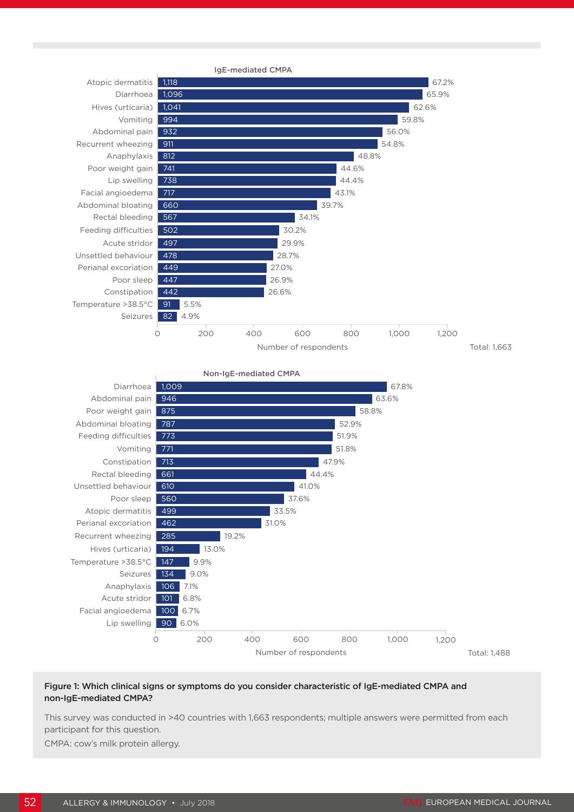



#### Figure 1: Which clinical signs or symptoms do you consider characteristic of IgE-mediated CMPA and non-IgE-mediated CMPA?

This survey was conducted in >40 countries with 1,663 respondents; multiple answers were permitted from each participant for this question.

CMPA: cow's milk protein allergy.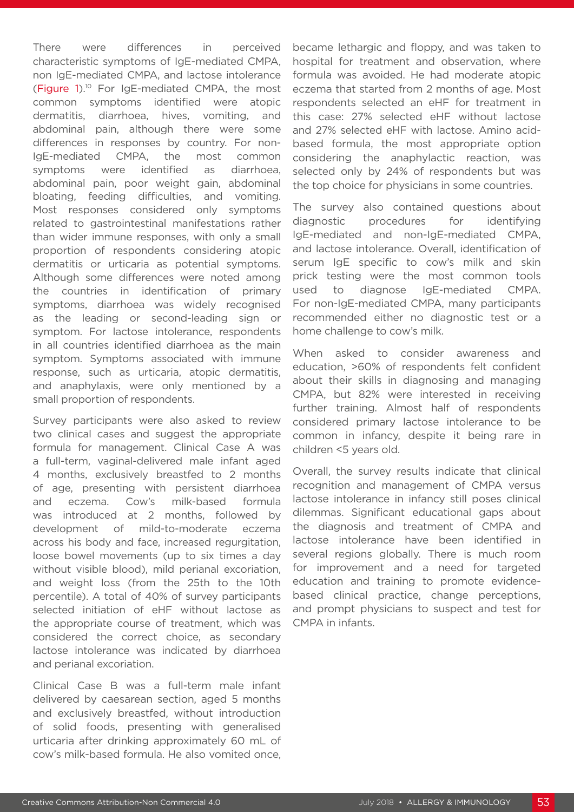There were differences in perceived characteristic symptoms of IgE-mediated CMPA, non IgE-mediated CMPA, and lactose intolerance (Figure 1).10 For IgE-mediated CMPA, the most common symptoms identified were atopic dermatitis, diarrhoea, hives, vomiting, and abdominal pain, although there were some differences in responses by country. For non-IgE-mediated CMPA, the most common symptoms were identified as diarrhoea, abdominal pain, poor weight gain, abdominal bloating, feeding difficulties, and vomiting. Most responses considered only symptoms related to gastrointestinal manifestations rather than wider immune responses, with only a small proportion of respondents considering atopic dermatitis or urticaria as potential symptoms. Although some differences were noted among the countries in identification of primary symptoms, diarrhoea was widely recognised as the leading or second-leading sign or symptom. For lactose intolerance, respondents in all countries identified diarrhoea as the main symptom. Symptoms associated with immune response, such as urticaria, atopic dermatitis, and anaphylaxis, were only mentioned by a small proportion of respondents.

Survey participants were also asked to review two clinical cases and suggest the appropriate formula for management. Clinical Case A was a full-term, vaginal-delivered male infant aged 4 months, exclusively breastfed to 2 months of age, presenting with persistent diarrhoea and eczema. Cow's milk-based formula was introduced at 2 months, followed by development of mild-to-moderate eczema across his body and face, increased regurgitation, loose bowel movements (up to six times a day without visible blood), mild perianal excoriation, and weight loss (from the 25th to the 10th percentile). A total of 40% of survey participants selected initiation of eHF without lactose as the appropriate course of treatment, which was considered the correct choice, as secondary lactose intolerance was indicated by diarrhoea and perianal excoriation.

Clinical Case B was a full-term male infant delivered by caesarean section, aged 5 months and exclusively breastfed, without introduction of solid foods, presenting with generalised urticaria after drinking approximately 60 mL of cow's milk-based formula. He also vomited once, became lethargic and floppy, and was taken to hospital for treatment and observation, where formula was avoided. He had moderate atopic eczema that started from 2 months of age. Most respondents selected an eHF for treatment in this case: 27% selected eHF without lactose and 27% selected eHF with lactose. Amino acidbased formula, the most appropriate option considering the anaphylactic reaction, was selected only by 24% of respondents but was the top choice for physicians in some countries.

The survey also contained questions about diagnostic procedures for identifying IgE-mediated and non-IgE-mediated CMPA, and lactose intolerance. Overall, identification of serum IgE specific to cow's milk and skin prick testing were the most common tools used to diagnose IgE-mediated CMPA. For non-IgE-mediated CMPA, many participants recommended either no diagnostic test or a home challenge to cow's milk.

When asked to consider awareness and education, >60% of respondents felt confident about their skills in diagnosing and managing CMPA, but 82% were interested in receiving further training. Almost half of respondents considered primary lactose intolerance to be common in infancy, despite it being rare in children <5 years old.

Overall, the survey results indicate that clinical recognition and management of CMPA versus lactose intolerance in infancy still poses clinical dilemmas. Significant educational gaps about the diagnosis and treatment of CMPA and lactose intolerance have been identified in several regions globally. There is much room for improvement and a need for targeted education and training to promote evidencebased clinical practice, change perceptions, and prompt physicians to suspect and test for CMPA in infants.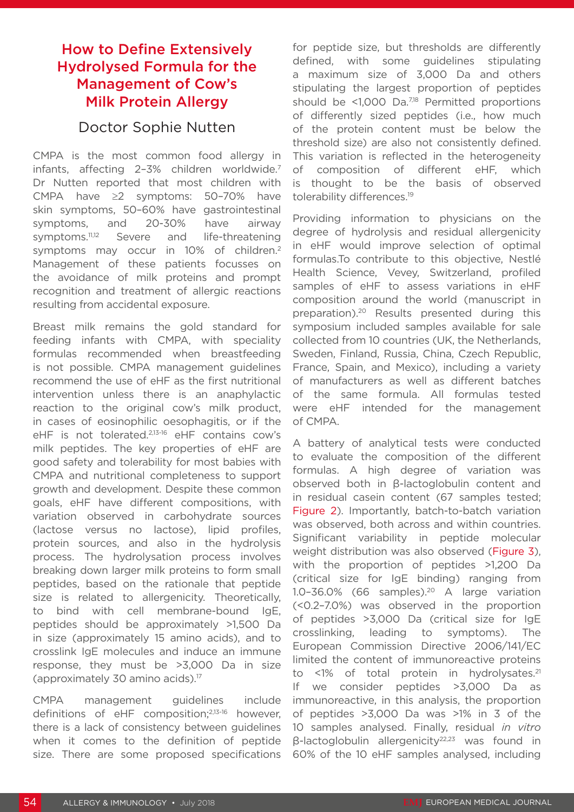# How to Define Extensively Hydrolysed Formula for the Management of Cow's Milk Protein Allergy

### Doctor Sophie Nutten

CMPA is the most common food allergy in infants, affecting 2-3% children worldwide.<sup>7</sup> Dr Nutten reported that most children with CMPA have ≥2 symptoms: 50–70% have skin symptoms, 50–60% have gastrointestinal symptoms, and 20-30% have airway symptoms.<sup>11,12</sup> Severe and life-threatening symptoms may occur in 10% of children.2 Management of these patients focusses on the avoidance of milk proteins and prompt recognition and treatment of allergic reactions resulting from accidental exposure.

Breast milk remains the gold standard for feeding infants with CMPA, with speciality formulas recommended when breastfeeding is not possible. CMPA management guidelines recommend the use of eHF as the first nutritional intervention unless there is an anaphylactic reaction to the original cow's milk product, in cases of eosinophilic oesophagitis, or if the eHF is not tolerated.2,13-16 eHF contains cow's milk peptides. The key properties of eHF are good safety and tolerability for most babies with CMPA and nutritional completeness to support growth and development. Despite these common goals, eHF have different compositions, with variation observed in carbohydrate sources (lactose versus no lactose), lipid profiles, protein sources, and also in the hydrolysis process. The hydrolysation process involves breaking down larger milk proteins to form small peptides, based on the rationale that peptide size is related to allergenicity. Theoretically, to bind with cell membrane-bound IgE, peptides should be approximately >1,500 Da in size (approximately 15 amino acids), and to crosslink IgE molecules and induce an immune response, they must be >3,000 Da in size (approximately 30 amino acids).17

CMPA management guidelines include definitions of eHF composition;2,13-16 however, there is a lack of consistency between guidelines when it comes to the definition of peptide size. There are some proposed specifications for peptide size, but thresholds are differently defined, with some guidelines stipulating a maximum size of 3,000 Da and others stipulating the largest proportion of peptides should be  $\leq 1,000$  Da.<sup>7,18</sup> Permitted proportions of differently sized peptides (i.e., how much of the protein content must be below the threshold size) are also not consistently defined. This variation is reflected in the heterogeneity of composition of different eHF, which is thought to be the basis of observed tolerability differences.<sup>19</sup>

Providing information to physicians on the degree of hydrolysis and residual allergenicity in eHF would improve selection of optimal formulas.To contribute to this objective, Nestlé Health Science, Vevey, Switzerland, profiled samples of eHF to assess variations in eHF composition around the world (manuscript in preparation).20 Results presented during this symposium included samples available for sale collected from 10 countries (UK, the Netherlands, Sweden, Finland, Russia, China, Czech Republic, France, Spain, and Mexico), including a variety of manufacturers as well as different batches of the same formula. All formulas tested were eHF intended for the management of CMPA.

A battery of analytical tests were conducted to evaluate the composition of the different formulas. A high degree of variation was observed both in β-lactoglobulin content and in residual casein content (67 samples tested; Figure 2). Importantly, batch-to-batch variation was observed, both across and within countries. Significant variability in peptide molecular weight distribution was also observed (Figure 3), with the proportion of peptides >1,200 Da (critical size for IgE binding) ranging from 1.0–36.0% (66 samples).20 A large variation (<0.2–7.0%) was observed in the proportion of peptides >3,000 Da (critical size for IgE crosslinking, leading to symptoms). The European Commission Directive 2006/141/EC limited the content of immunoreactive proteins to  $\leq$ 1% of total protein in hydrolysates.<sup>21</sup> If we consider peptides >3,000 Da as immunoreactive, in this analysis, the proportion of peptides >3,000 Da was >1% in 3 of the 10 samples analysed. Finally, residual *in vitro*  β-lactoglobulin allergenicity22,23 was found in 60% of the 10 eHF samples analysed, including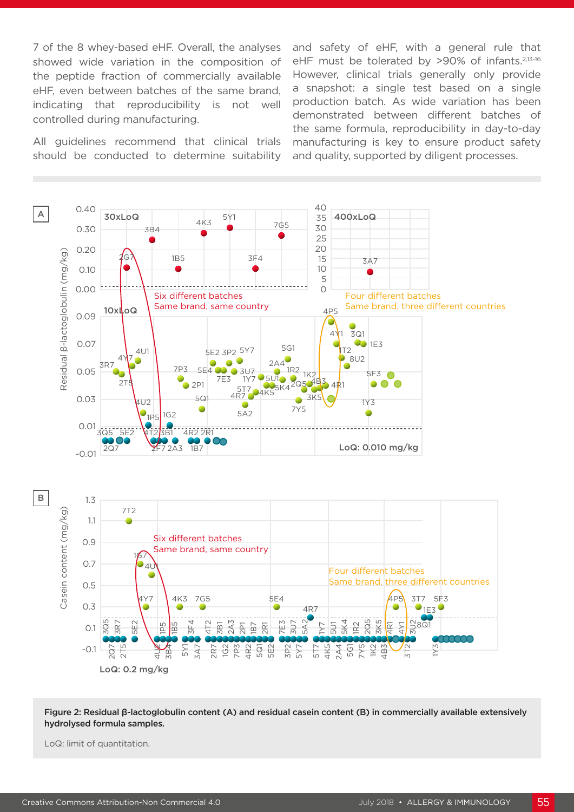7 of the 8 whey-based eHF. Overall, the analyses showed wide variation in the composition of the peptide fraction of commercially available eHF, even between batches of the same brand, indicating that reproducibility is not well controlled during manufacturing.

All guidelines recommend that clinical trials should be conducted to determine suitability and safety of eHF, with a general rule that eHF must be tolerated by >90% of infants.<sup>2,13-16</sup> However, clinical trials generally only provide a snapshot: a single test based on a single production batch. As wide variation has been demonstrated between different batches of the same formula, reproducibility in day-to-day manufacturing is key to ensure product safety and quality, supported by diligent processes.



Figure 2: Residual β-lactoglobulin content (A) and residual casein content (B) in commercially available extensively hydrolysed formula samples.

LoQ: limit of quantitation.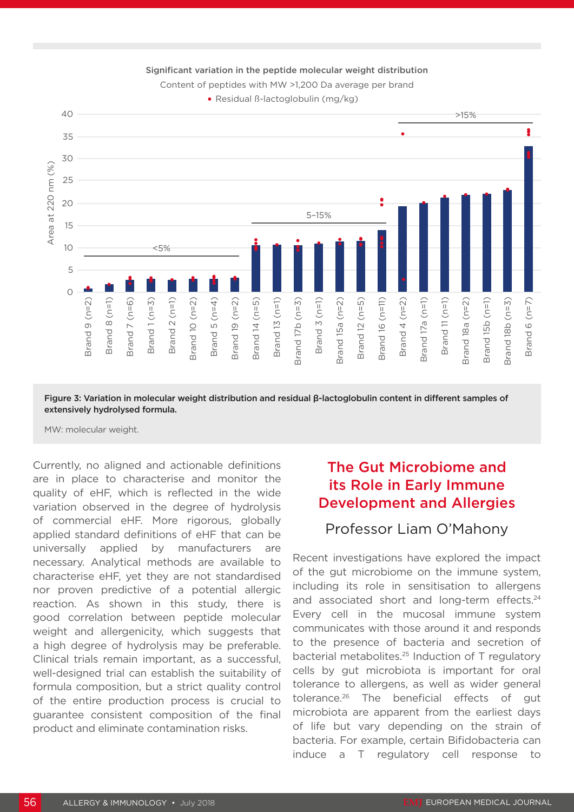

Significant variation in the peptide molecular weight distribution

Content of peptides with MW >1,200 Da average per brand

Residual ß-lactoglobulin (mg/kg)

Figure 3: Variation in molecular weight distribution and residual β-lactoglobulin content in different samples of extensively hydrolysed formula.

Currently, no aligned and actionable definitions are in place to characterise and monitor the quality of eHF, which is reflected in the wide variation observed in the degree of hydrolysis of commercial eHF. More rigorous, globally applied standard definitions of eHF that can be universally applied by manufacturers are necessary. Analytical methods are available to characterise eHF, yet they are not standardised nor proven predictive of a potential allergic reaction. As shown in this study, there is good correlation between peptide molecular weight and allergenicity, which suggests that a high degree of hydrolysis may be preferable. Clinical trials remain important, as a successful, well-designed trial can establish the suitability of formula composition, but a strict quality control of the entire production process is crucial to guarantee consistent composition of the final product and eliminate contamination risks.

# The Gut Microbiome and its Role in Early Immune Development and Allergies

# Professor Liam O'Mahony

Recent investigations have explored the impact of the gut microbiome on the immune system, including its role in sensitisation to allergens and associated short and long-term effects.<sup>24</sup> Every cell in the mucosal immune system communicates with those around it and responds to the presence of bacteria and secretion of bacterial metabolites.25 Induction of T regulatory cells by gut microbiota is important for oral tolerance to allergens, as well as wider general tolerance.26 The beneficial effects of gut microbiota are apparent from the earliest days of life but vary depending on the strain of bacteria. For example, certain Bifidobacteria can induce a T regulatory cell response to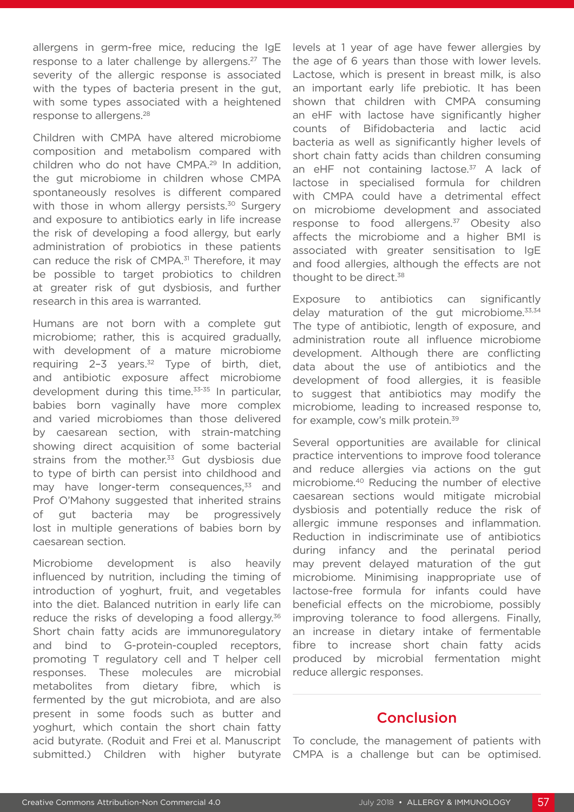allergens in germ-free mice, reducing the IgE response to a later challenge by allergens.<sup>27</sup> The severity of the allergic response is associated with the types of bacteria present in the gut, with some types associated with a heightened response to allergens.28

Children with CMPA have altered microbiome composition and metabolism compared with children who do not have CMPA.29 In addition, the gut microbiome in children whose CMPA spontaneously resolves is different compared with those in whom allergy persists.<sup>30</sup> Surgery and exposure to antibiotics early in life increase the risk of developing a food allergy, but early administration of probiotics in these patients can reduce the risk of CMPA.<sup>31</sup> Therefore, it may be possible to target probiotics to children at greater risk of gut dysbiosis, and further research in this area is warranted.

Humans are not born with a complete gut microbiome; rather, this is acquired gradually, with development of a mature microbiome requiring  $2-3$  years.<sup>32</sup> Type of birth, diet, and antibiotic exposure affect microbiome development during this time.33-35 In particular, babies born vaginally have more complex and varied microbiomes than those delivered by caesarean section, with strain-matching showing direct acquisition of some bacterial strains from the mother.<sup>33</sup> Gut dysbiosis due to type of birth can persist into childhood and may have longer-term consequences, $33$  and Prof O'Mahony suggested that inherited strains of gut bacteria may be progressively lost in multiple generations of babies born by caesarean section.

Microbiome development is also heavily influenced by nutrition, including the timing of introduction of yoghurt, fruit, and vegetables into the diet. Balanced nutrition in early life can reduce the risks of developing a food allergy.<sup>36</sup> Short chain fatty acids are immunoregulatory and bind to G-protein-coupled receptors, promoting T regulatory cell and T helper cell responses. These molecules are microbial metabolites from dietary fibre, which is fermented by the gut microbiota, and are also present in some foods such as butter and yoghurt, which contain the short chain fatty acid butyrate. (Roduit and Frei et al. Manuscript submitted.) Children with higher butyrate

levels at 1 year of age have fewer allergies by the age of 6 years than those with lower levels. Lactose, which is present in breast milk, is also an important early life prebiotic. It has been shown that children with CMPA consuming an eHF with lactose have significantly higher counts of Bifidobacteria and lactic acid bacteria as well as significantly higher levels of short chain fatty acids than children consuming an eHF not containing lactose.<sup>37</sup> A lack of lactose in specialised formula for children with CMPA could have a detrimental effect on microbiome development and associated response to food allergens. $37$  Obesity also affects the microbiome and a higher BMI is associated with greater sensitisation to IgE and food allergies, although the effects are not thought to be direct.<sup>38</sup>

Exposure to antibiotics can significantly delay maturation of the gut microbiome.<sup>33,34</sup> The type of antibiotic, length of exposure, and administration route all influence microbiome development. Although there are conflicting data about the use of antibiotics and the development of food allergies, it is feasible to suggest that antibiotics may modify the microbiome, leading to increased response to, for example, cow's milk protein.<sup>39</sup>

Several opportunities are available for clinical practice interventions to improve food tolerance and reduce allergies via actions on the gut microbiome.40 Reducing the number of elective caesarean sections would mitigate microbial dysbiosis and potentially reduce the risk of allergic immune responses and inflammation. Reduction in indiscriminate use of antibiotics during infancy and the perinatal period may prevent delayed maturation of the gut microbiome. Minimising inappropriate use of lactose-free formula for infants could have beneficial effects on the microbiome, possibly improving tolerance to food allergens. Finally, an increase in dietary intake of fermentable fibre to increase short chain fatty acids produced by microbial fermentation might reduce allergic responses.

### Conclusion

To conclude, the management of patients with CMPA is a challenge but can be optimised.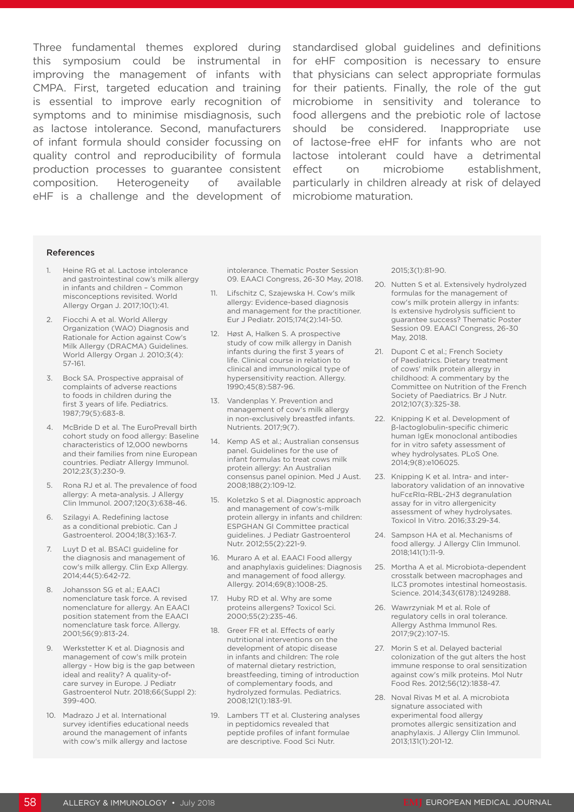Three fundamental themes explored during standardised global guidelines and definitions this symposium could be instrumental in for eHF composition is necessary to ensure improving the management of infants with CMPA. First, targeted education and training is essential to improve early recognition of symptoms and to minimise misdiagnosis, such as lactose intolerance. Second, manufacturers of infant formula should consider focussing on quality control and reproducibility of formula lactose intolerant could have a detrimental production processes to guarantee consistent composition. Heterogeneity of available eHF is a challenge and the development of

that physicians can select appropriate formulas for their patients. Finally, the role of the gut microbiome in sensitivity and tolerance to food allergens and the prebiotic role of lactose should be considered. Inappropriate use of lactose-free eHF for infants who are not effect on microbiome establishment, particularly in children already at risk of delayed microbiome maturation.

#### References

- 1. Heine RG et al. Lactose intolerance and gastrointestinal cow's milk allergy in infants and children – Common misconceptions revisited. World Allergy Organ J. 2017;10(1):41.
- 2. Fiocchi A et al. World Allergy Organization (WAO) Diagnosis and Rationale for Action against Cow's Milk Allergy (DRACMA) Guidelines. World Allergy Organ J. 2010;3(4): 57-161.
- 3. Bock SA. Prospective appraisal of complaints of adverse reactions to foods in children during the first 3 years of life. Pediatrics. 1987;79(5):683-8.
- 4. McBride D et al. The EuroPrevall birth cohort study on food allergy: Baseline characteristics of 12,000 newborns and their families from nine European countries. Pediatr Allergy Immunol. 2012;23(3):230-9.
- 5. Rona RJ et al. The prevalence of food allergy: A meta-analysis. J Allergy Clin Immunol. 2007;120(3):638-46.
- 6. Szilagyi A. Redefining lactose as a conditional prebiotic. Can J Gastroenterol. 2004;18(3):163-7.
- 7. Luyt D et al. BSACI guideline for the diagnosis and management of cow's milk allergy. Clin Exp Allergy. 2014;44(5):642-72.
- 8. Johansson SG et al.; EAACI nomenclature task force. A revised nomenclature for allergy. An EAACI position statement from the EAACI nomenclature task force. Allergy. 2001;56(9):813-24.
- 9. Werkstetter K et al. Diagnosis and management of cow's milk protein allergy - How big is the gap between ideal and reality? A quality-ofcare survey in Europe. J Pediatr Gastroenterol Nutr. 2018;66(Suppl 2): 399-400.
- 10. Madrazo J et al. International survey identifies educational needs around the management of infants with cow's milk allergy and lactose

intolerance. Thematic Poster Session 09. EAACI Congress, 26-30 May, 2018.

- 11. Lifschitz C, Szajewska H. Cow's milk allergy: Evidence-based diagnosis and management for the practitioner. Eur J Pediatr. 2015;174(2):141-50.
- 12. Høst A, Halken S. A prospective study of cow milk allergy in Danish infants during the first 3 years of life. Clinical course in relation to clinical and immunological type of hypersensitivity reaction. Allergy. 1990;45(8):587-96.
- 13. Vandenplas Y. Prevention and management of cow's milk allergy in non-exclusively breastfed infants. Nutrients. 2017;9(7).
- 14. Kemp AS et al.; Australian consensus panel. Guidelines for the use of infant formulas to treat cows milk protein allergy: An Australian consensus panel opinion. Med J Aust. 2008;188(2):109-12.
- 15. Koletzko S et al. Diagnostic approach and management of cow's-milk protein allergy in infants and children: ESPGHAN GI Committee practical guidelines. J Pediatr Gastroenterol Nutr. 2012;55(2):221-9.
- 16. Muraro A et al. EAACI Food allergy and anaphylaxis guidelines: Diagnosis and management of food allergy. Allergy. 2014;69(8):1008-25.
- 17. Huby RD et al. Why are some proteins allergens? Toxicol Sci. 2000;55(2):235-46.
- 18. Greer FR et al. Effects of early nutritional interventions on the development of atopic disease in infants and children: The role of maternal dietary restriction, breastfeeding, timing of introduction of complementary foods, and hydrolyzed formulas. Pediatrics. 2008;121(1):183-91.
- 19. Lambers TT et al. Clustering analyses in peptidomics revealed that peptide profiles of infant formulae are descriptive. Food Sci Nutr.

2015;3(1):81-90.

- 20. Nutten S et al. Extensively hydrolyzed formulas for the management of cow's milk protein allergy in infants: Is extensive hydrolysis sufficient to guarantee success? Thematic Poster Session 09. EAACI Congress, 26-30 May, 2018.
- 21. Dupont C et al.; French Society of Paediatrics. Dietary treatment of cows' milk protein allergy in childhood: A commentary by the Committee on Nutrition of the French Society of Paediatrics. Br J Nutr. 2012;107(3):325-38.
- 22. Knipping K et al. Development of β-lactoglobulin-specific chimeric human IgEκ monoclonal antibodies for in vitro safety assessment of whey hydrolysates. PLoS One. 2014;9(8):e106025.
- 23. Knipping K et al. Intra- and interlaboratory validation of an innovative huFcεRIα-RBL-2H3 degranulation assay for in vitro allergenicity assessment of whey hydrolysates. Toxicol In Vitro. 2016;33:29-34.
- 24. Sampson HA et al. Mechanisms of food allergy. J Allergy Clin Immunol. 2018;141(1):11-9.
- 25. Mortha A et al. Microbiota-dependent crosstalk between macrophages and ILC3 promotes intestinal homeostasis. Science. 2014;343(6178):1249288.
- 26. Wawrzyniak M et al. Role of regulatory cells in oral tolerance. Allergy Asthma Immunol Res. 2017;9(2):107-15.
- 27. Morin S et al. Delayed bacterial colonization of the gut alters the host immune response to oral sensitization against cow's milk proteins. Mol Nutr Food Res. 2012;56(12):1838-47.
- 28. Noval Rivas M et al. A microbiota signature associated with experimental food allergy promotes allergic sensitization and anaphylaxis. J Allergy Clin Immunol. 2013;131(1):201-12.